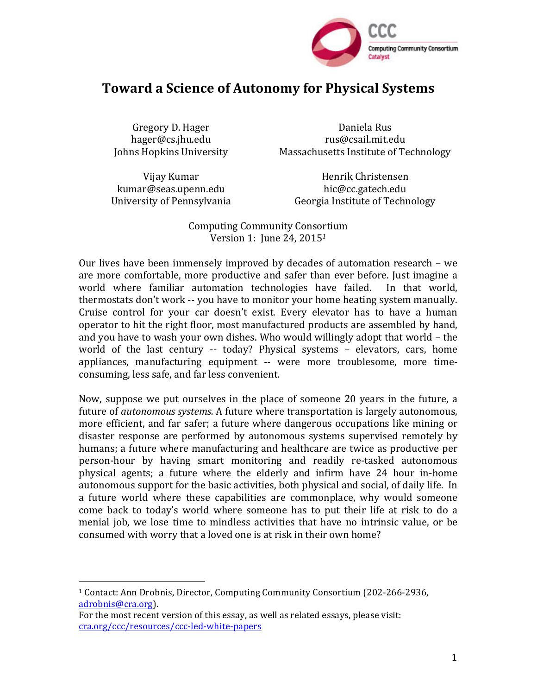

# **Toward a Science of Autonomy for Physical Systems**

Gregory D. Hager hager@cs.jhu.edu Johns Hopkins University

Daniela Rus rus@csail.mit.edu Massachusetts Institute of Technology

Vijay Kumar kumar@seas.upenn.edu University of Pennsylvania

Henrik Christensen hic@cc.gatech.edu Georgia Institute of Technology

Computing Community Consortium Version 1: June 24, 2015<sup>1</sup>

Our lives have been immensely improved by decades of automation research – we are more comfortable, more productive and safer than ever before. Just imagine a world where familiar automation technologies have failed. In that world, thermostats don't work -- you have to monitor your home heating system manually. Cruise control for your car doesn't exist. Every elevator has to have a human operator to hit the right floor, most manufactured products are assembled by hand, and you have to wash your own dishes. Who would willingly adopt that world  $-$  the world of the last century -- today? Physical systems - elevators, cars, home appliances, manufacturing equipment -- were more troublesome, more timeconsuming, less safe, and far less convenient.

Now, suppose we put ourselves in the place of someone 20 years in the future, a future of *autonomous systems.* A future where transportation is largely autonomous, more efficient, and far safer; a future where dangerous occupations like mining or disaster response are performed by autonomous systems supervised remotely by humans; a future where manufacturing and healthcare are twice as productive per person-hour by having smart monitoring and readily re-tasked autonomous physical agents; a future where the elderly and infirm have 24 hour in-home autonomous support for the basic activities, both physical and social, of daily life. In a future world where these capabilities are commonplace, why would someone come back to today's world where someone has to put their life at risk to do a menial job, we lose time to mindless activities that have no intrinsic value, or be consumed with worry that a loved one is at risk in their own home?

 

<sup>&</sup>lt;sup>1</sup> Contact: Ann Drobnis, Director, Computing Community Consortium (202-266-2936, adrobnis@cra.org). 

For the most recent version of this essay, as well as related essays, please visit: cra.org/ccc/resources/ccc-led-white-papers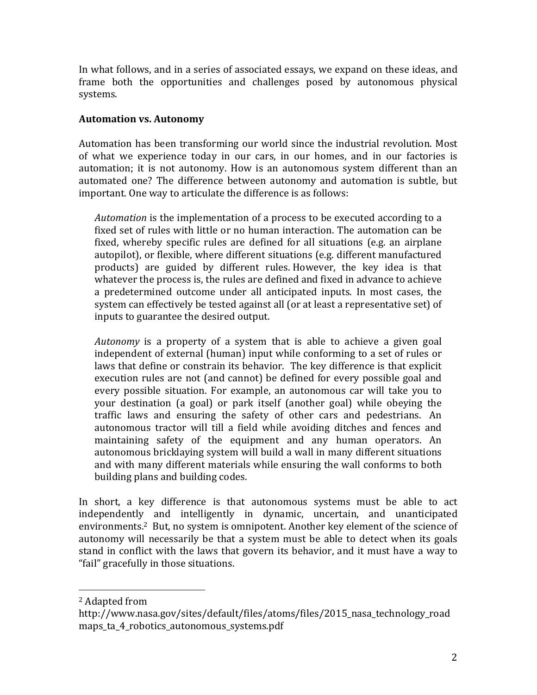In what follows, and in a series of associated essays, we expand on these ideas, and frame both the opportunities and challenges posed by autonomous physical systems.

### **Automation vs. Autonomy**

Automation has been transforming our world since the industrial revolution. Most of what we experience today in our cars, in our homes, and in our factories is automation; it is not autonomy. How is an autonomous system different than an automated one? The difference between autonomy and automation is subtle, but important. One way to articulate the difference is as follows:

*Automation* is the implementation of a process to be executed according to a fixed set of rules with little or no human interaction. The automation can be fixed, whereby specific rules are defined for all situations (e.g. an airplane autopilot), or flexible, where different situations (e.g. different manufactured products) are guided by different rules. However, the key idea is that whatever the process is, the rules are defined and fixed in advance to achieve a predetermined outcome under all anticipated inputs. In most cases, the system can effectively be tested against all (or at least a representative set) of inputs to guarantee the desired output.

*Autonomy* is a property of a system that is able to achieve a given goal independent of external (human) input while conforming to a set of rules or laws that define or constrain its behavior. The key difference is that explicit execution rules are not (and cannot) be defined for every possible goal and every possible situation. For example, an autonomous car will take you to your destination (a goal) or park itself (another goal) while obeying the traffic laws and ensuring the safety of other cars and pedestrians. An autonomous tractor will till a field while avoiding ditches and fences and maintaining safety of the equipment and any human operators. An autonomous bricklaying system will build a wall in many different situations and with many different materials while ensuring the wall conforms to both building plans and building codes.

In short, a key difference is that autonomous systems must be able to act independently and intelligently in dynamic, uncertain, and unanticipated environments.<sup>2</sup> But, no system is omnipotent. Another key element of the science of autonomy will necessarily be that a system must be able to detect when its goals stand in conflict with the laws that govern its behavior, and it must have a way to "fail" gracefully in those situations.

 

<sup>&</sup>lt;sup>2</sup> Adapted from

http://www.nasa.gov/sites/default/files/atoms/files/2015\_nasa\_technology\_road maps\_ta\_4\_robotics\_autonomous\_systems.pdf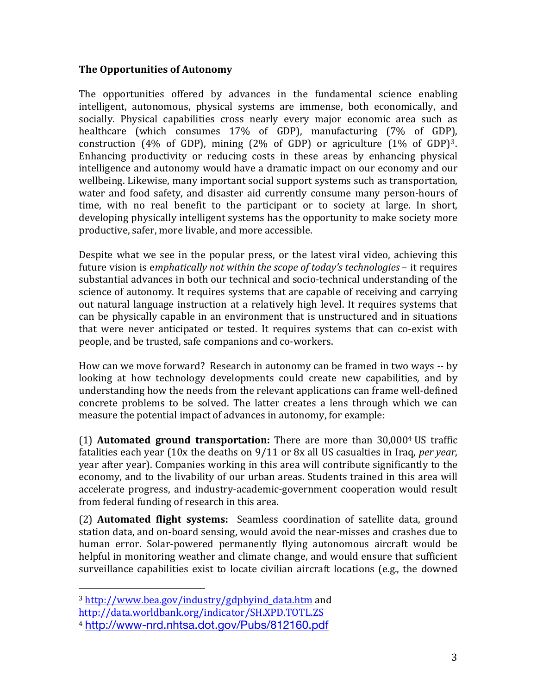## **The Opportunities of Autonomy**

The opportunities offered by advances in the fundamental science enabling intelligent, autonomous, physical systems are immense, both economically, and socially. Physical capabilities cross nearly every major economic area such as healthcare (which consumes 17% of GDP), manufacturing (7% of GDP), construction (4% of GDP), mining (2% of GDP) or agriculture  $(1\%$  of GDP)<sup>3</sup>. Enhancing productivity or reducing costs in these areas by enhancing physical intelligence and autonomy would have a dramatic impact on our economy and our wellbeing. Likewise, many important social support systems such as transportation, water and food safety, and disaster aid currently consume many person-hours of time, with no real benefit to the participant or to society at large. In short, developing physically intelligent systems has the opportunity to make society more productive, safer, more livable, and more accessible.

Despite what we see in the popular press, or the latest viral video, achieving this future vision is emphatically not within the scope of today's technologies – it requires substantial advances in both our technical and socio-technical understanding of the science of autonomy. It requires systems that are capable of receiving and carrying out natural language instruction at a relatively high level. It requires systems that can be physically capable in an environment that is unstructured and in situations that were never anticipated or tested. It requires systems that can co-exist with people, and be trusted, safe companions and co-workers.

How can we move forward? Research in autonomy can be framed in two ways -- by looking at how technology developments could create new capabilities, and by understanding how the needs from the relevant applications can frame well-defined concrete problems to be solved. The latter creates a lens through which we can measure the potential impact of advances in autonomy, for example:

(1) **Automated ground transportation:** There are more than 30,0004 US traffic fatalities each year (10x the deaths on 9/11 or 8x all US casualties in Iraq, *per year*, year after year). Companies working in this area will contribute significantly to the economy, and to the livability of our urban areas. Students trained in this area will accelerate progress, and industry-academic-government cooperation would result from federal funding of research in this area.

(2) **Automated flight systems:** Seamless coordination of satellite data, ground station data, and on-board sensing, would avoid the near-misses and crashes due to human error. Solar-powered permanently flying autonomous aircraft would be helpful in monitoring weather and climate change, and would ensure that sufficient surveillance capabilities exist to locate civilian aircraft locations (e.g., the downed

 

<sup>&</sup>lt;sup>3</sup> http://www.bea.gov/industry/gdpbyind\_data.htm and

http://data.worldbank.org/indicator/SH.XPD.TOTL.ZS

<sup>4</sup> http://www-nrd.nhtsa.dot.gov/Pubs/812160.pdf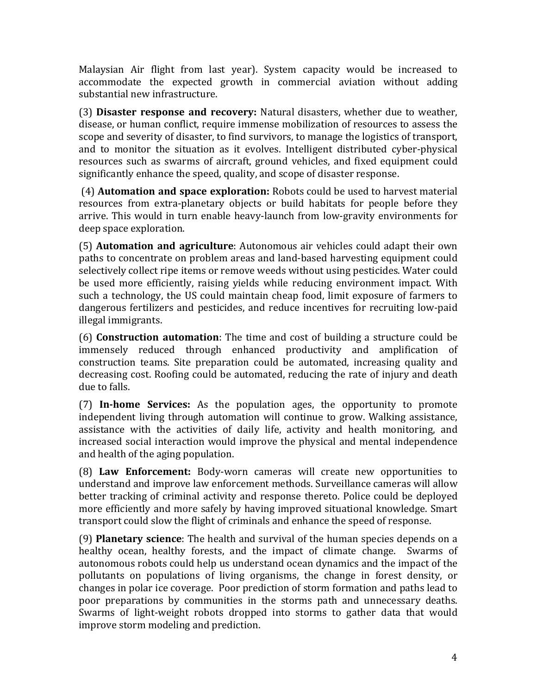Malaysian Air flight from last year). System capacity would be increased to accommodate the expected growth in commercial aviation without adding substantial new infrastructure.

(3) **Disaster response and recovery:** Natural disasters, whether due to weather, disease, or human conflict, require immense mobilization of resources to assess the scope and severity of disaster, to find survivors, to manage the logistics of transport, and to monitor the situation as it evolves. Intelligent distributed cyber-physical resources such as swarms of aircraft, ground vehicles, and fixed equipment could significantly enhance the speed, quality, and scope of disaster response.

(4) **Automation and space exploration:** Robots could be used to harvest material resources from extra-planetary objects or build habitats for people before they arrive. This would in turn enable heavy-launch from low-gravity environments for deep space exploration.

(5) **Automation and agriculture**: Autonomous air vehicles could adapt their own paths to concentrate on problem areas and land-based harvesting equipment could selectively collect ripe items or remove weeds without using pesticides. Water could be used more efficiently, raising yields while reducing environment impact. With such a technology, the US could maintain cheap food, limit exposure of farmers to dangerous fertilizers and pesticides, and reduce incentives for recruiting low-paid illegal immigrants.

(6) **Construction automation**: The time and cost of building a structure could be immensely reduced through enhanced productivity and amplification of construction teams. Site preparation could be automated, increasing quality and decreasing cost. Roofing could be automated, reducing the rate of injury and death due to falls.

(7) **In-home Services:**  As the population ages, the opportunity to promote independent living through automation will continue to grow. Walking assistance, assistance with the activities of daily life, activity and health monitoring, and increased social interaction would improve the physical and mental independence and health of the aging population.

(8) **Law Enforcement:**  Body-worn cameras will create new opportunities to understand and improve law enforcement methods. Surveillance cameras will allow better tracking of criminal activity and response thereto. Police could be deployed more efficiently and more safely by having improved situational knowledge. Smart transport could slow the flight of criminals and enhance the speed of response.

(9) **Planetary science**: The health and survival of the human species depends on a healthy ocean, healthy forests, and the impact of climate change. Swarms of autonomous robots could help us understand ocean dynamics and the impact of the pollutants on populations of living organisms, the change in forest density, or changes in polar ice coverage. Poor prediction of storm formation and paths lead to poor preparations by communities in the storms path and unnecessary deaths. Swarms of light-weight robots dropped into storms to gather data that would improve storm modeling and prediction.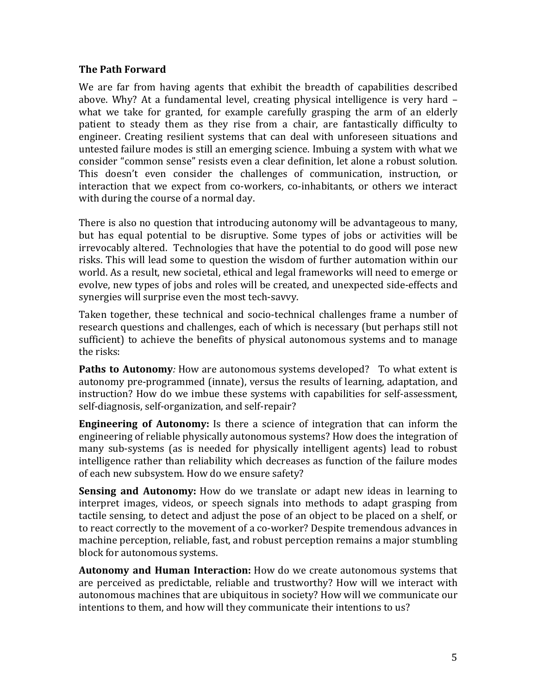#### **The Path Forward**

We are far from having agents that exhibit the breadth of capabilities described above. Why? At a fundamental level, creating physical intelligence is very hard  $$ what we take for granted, for example carefully grasping the arm of an elderly patient to steady them as they rise from a chair, are fantastically difficulty to engineer. Creating resilient systems that can deal with unforeseen situations and untested failure modes is still an emerging science. Imbuing a system with what we consider "common sense" resists even a clear definition, let alone a robust solution. This doesn't even consider the challenges of communication, instruction, or interaction that we expect from co-workers, co-inhabitants, or others we interact with during the course of a normal day.

There is also no question that introducing autonomy will be advantageous to many, but has equal potential to be disruptive. Some types of jobs or activities will be irrevocably altered. Technologies that have the potential to do good will pose new risks. This will lead some to question the wisdom of further automation within our world. As a result, new societal, ethical and legal frameworks will need to emerge or evolve, new types of jobs and roles will be created, and unexpected side-effects and synergies will surprise even the most tech-savvy.

Taken together, these technical and socio-technical challenges frame a number of research questions and challenges, each of which is necessary (but perhaps still not sufficient) to achieve the benefits of physical autonomous systems and to manage the risks:

**Paths to Autonomy**: How are autonomous systems developed? To what extent is autonomy pre-programmed (innate), versus the results of learning, adaptation, and instruction? How do we imbue these systems with capabilities for self-assessment, self-diagnosis, self-organization, and self-repair?

**Engineering of Autonomy:** Is there a science of integration that can inform the engineering of reliable physically autonomous systems? How does the integration of many sub-systems (as is needed for physically intelligent agents) lead to robust intelligence rather than reliability which decreases as function of the failure modes of each new subsystem. How do we ensure safety?

**Sensing and Autonomy:** How do we translate or adapt new ideas in learning to interpret images, videos, or speech signals into methods to adapt grasping from tactile sensing, to detect and adjust the pose of an object to be placed on a shelf, or to react correctly to the movement of a co-worker? Despite tremendous advances in machine perception, reliable, fast, and robust perception remains a major stumbling block for autonomous systems.

**Autonomy and Human Interaction:** How do we create autonomous systems that are perceived as predictable, reliable and trustworthy? How will we interact with autonomous machines that are ubiquitous in society? How will we communicate our intentions to them, and how will they communicate their intentions to us?